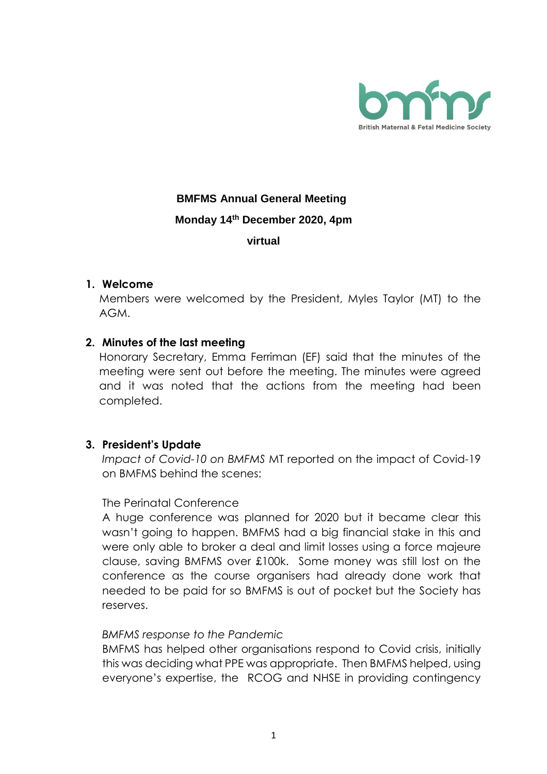

# **BMFMS Annual General Meeting Monday 14th December 2020, 4pm virtual**

#### **1. Welcome**

Members were welcomed by the President, Myles Taylor (MT) to the AGM.

#### **2. Minutes of the last meeting**

Honorary Secretary, Emma Ferriman (EF) said that the minutes of the meeting were sent out before the meeting. The minutes were agreed and it was noted that the actions from the meeting had been completed.

# **3. President's Update**

*Impact of Covid-10 on BMFMS* MT reported on the impact of Covid-19 on BMFMS behind the scenes:

#### The Perinatal Conference

A huge conference was planned for 2020 but it became clear this wasn't going to happen. BMFMS had a big financial stake in this and were only able to broker a deal and limit losses using a force majeure clause, saving BMFMS over £100k. Some money was still lost on the conference as the course organisers had already done work that needed to be paid for so BMFMS is out of pocket but the Society has reserves.

#### *BMFMS response to the Pandemic*

BMFMS has helped other organisations respond to Covid crisis, initially this was deciding what PPE was appropriate. Then BMFMS helped, using everyone's expertise, the RCOG and NHSE in providing contingency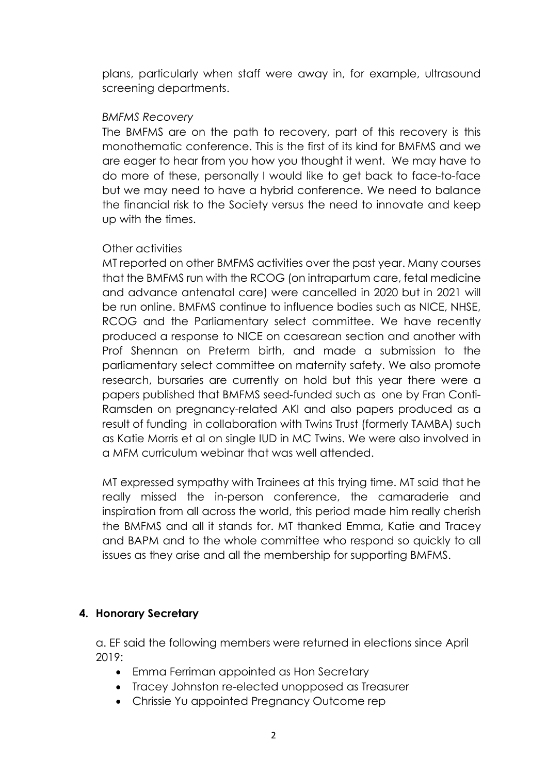plans, particularly when staff were away in, for example, ultrasound screening departments.

#### *BMFMS Recovery*

The BMFMS are on the path to recovery, part of this recovery is this monothematic conference. This is the first of its kind for BMFMS and we are eager to hear from you how you thought it went. We may have to do more of these, personally I would like to get back to face-to-face but we may need to have a hybrid conference. We need to balance the financial risk to the Society versus the need to innovate and keep up with the times.

# Other activities

MT reported on other BMFMS activities over the past year. Many courses that the BMFMS run with the RCOG (on intrapartum care, fetal medicine and advance antenatal care) were cancelled in 2020 but in 2021 will be run online. BMFMS continue to influence bodies such as NICE, NHSE, RCOG and the Parliamentary select committee. We have recently produced a response to NICE on caesarean section and another with Prof Shennan on Preterm birth, and made a submission to the parliamentary select committee on maternity safety. We also promote research, bursaries are currently on hold but this year there were a papers published that BMFMS seed-funded such as one by Fran Conti-Ramsden on pregnancy-related AKI and also papers produced as a result of funding in collaboration with Twins Trust (formerly TAMBA) such as Katie Morris et al on single IUD in MC Twins. We were also involved in a MFM curriculum webinar that was well attended.

MT expressed sympathy with Trainees at this trying time. MT said that he really missed the in-person conference, the camaraderie and inspiration from all across the world, this period made him really cherish the BMFMS and all it stands for. MT thanked Emma, Katie and Tracey and BAPM and to the whole committee who respond so quickly to all issues as they arise and all the membership for supporting BMFMS.

# **4. Honorary Secretary**

a. EF said the following members were returned in elections since April 2019:

- Emma Ferriman appointed as Hon Secretary
- Tracey Johnston re-elected unopposed as Treasurer
- Chrissie Yu appointed Pregnancy Outcome rep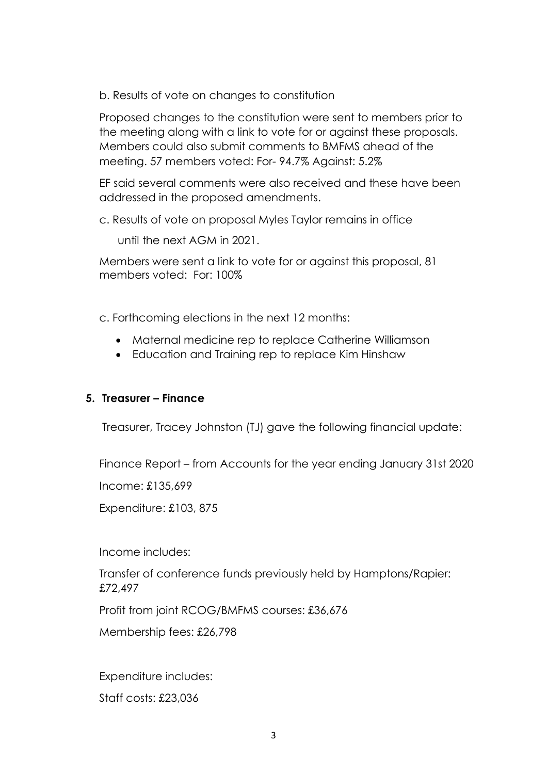b. Results of vote on changes to constitution

Proposed changes to the constitution were sent to members prior to the meeting along with a link to vote for or against these proposals. Members could also submit comments to BMFMS ahead of the meeting. 57 members voted: For- 94.7% Against: 5.2%

EF said several comments were also received and these have been addressed in the proposed amendments.

c. Results of vote on proposal Myles Taylor remains in office

until the next AGM in 2021.

Members were sent a link to vote for or against this proposal, 81 members voted: For: 100%

c. Forthcoming elections in the next 12 months:

- Maternal medicine rep to replace Catherine Williamson
- Education and Training rep to replace Kim Hinshaw

# **5. Treasurer – Finance**

Treasurer, Tracey Johnston (TJ) gave the following financial update:

Finance Report – from Accounts for the year ending January 31st 2020

Income: £135,699

Expenditure: £103, 875

Income includes:

Transfer of conference funds previously held by Hamptons/Rapier: £72,497

Profit from joint RCOG/BMFMS courses: £36,676

Membership fees: £26,798

Expenditure includes:

Staff costs: £23,036